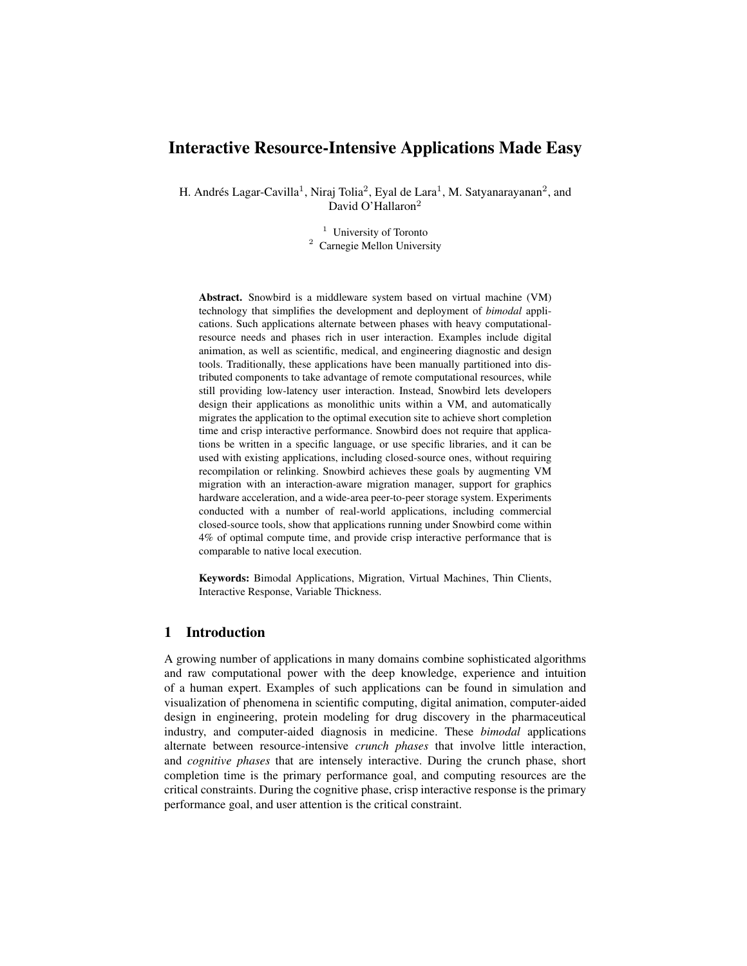# Interactive Resource-Intensive Applications Made Easy

H. Andrés Lagar-Cavilla<sup>1</sup>, Niraj Tolia<sup>2</sup>, Eyal de Lara<sup>1</sup>, M. Satyanarayanan<sup>2</sup>, and David O'Hallaron<sup>2</sup>

> <sup>1</sup> University of Toronto <sup>2</sup> Carnegie Mellon University

Abstract. Snowbird is a middleware system based on virtual machine (VM) technology that simplifies the development and deployment of *bimodal* applications. Such applications alternate between phases with heavy computationalresource needs and phases rich in user interaction. Examples include digital animation, as well as scientific, medical, and engineering diagnostic and design tools. Traditionally, these applications have been manually partitioned into distributed components to take advantage of remote computational resources, while still providing low-latency user interaction. Instead, Snowbird lets developers design their applications as monolithic units within a VM, and automatically migrates the application to the optimal execution site to achieve short completion time and crisp interactive performance. Snowbird does not require that applications be written in a specific language, or use specific libraries, and it can be used with existing applications, including closed-source ones, without requiring recompilation or relinking. Snowbird achieves these goals by augmenting VM migration with an interaction-aware migration manager, support for graphics hardware acceleration, and a wide-area peer-to-peer storage system. Experiments conducted with a number of real-world applications, including commercial closed-source tools, show that applications running under Snowbird come within 4% of optimal compute time, and provide crisp interactive performance that is comparable to native local execution.

Keywords: Bimodal Applications, Migration, Virtual Machines, Thin Clients, Interactive Response, Variable Thickness.

## 1 Introduction

A growing number of applications in many domains combine sophisticated algorithms and raw computational power with the deep knowledge, experience and intuition of a human expert. Examples of such applications can be found in simulation and visualization of phenomena in scientific computing, digital animation, computer-aided design in engineering, protein modeling for drug discovery in the pharmaceutical industry, and computer-aided diagnosis in medicine. These *bimodal* applications alternate between resource-intensive *crunch phases* that involve little interaction, and *cognitive phases* that are intensely interactive. During the crunch phase, short completion time is the primary performance goal, and computing resources are the critical constraints. During the cognitive phase, crisp interactive response is the primary performance goal, and user attention is the critical constraint.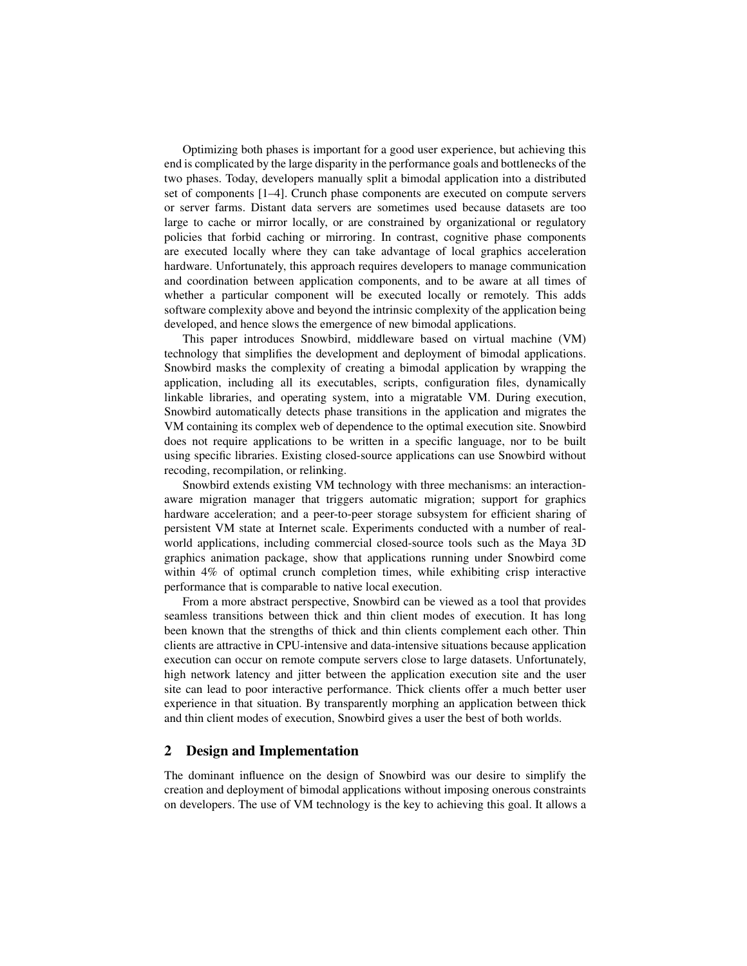Optimizing both phases is important for a good user experience, but achieving this end is complicated by the large disparity in the performance goals and bottlenecks of the two phases. Today, developers manually split a bimodal application into a distributed set of components [1–4]. Crunch phase components are executed on compute servers or server farms. Distant data servers are sometimes used because datasets are too large to cache or mirror locally, or are constrained by organizational or regulatory policies that forbid caching or mirroring. In contrast, cognitive phase components are executed locally where they can take advantage of local graphics acceleration hardware. Unfortunately, this approach requires developers to manage communication and coordination between application components, and to be aware at all times of whether a particular component will be executed locally or remotely. This adds software complexity above and beyond the intrinsic complexity of the application being developed, and hence slows the emergence of new bimodal applications.

This paper introduces Snowbird, middleware based on virtual machine (VM) technology that simplifies the development and deployment of bimodal applications. Snowbird masks the complexity of creating a bimodal application by wrapping the application, including all its executables, scripts, configuration files, dynamically linkable libraries, and operating system, into a migratable VM. During execution, Snowbird automatically detects phase transitions in the application and migrates the VM containing its complex web of dependence to the optimal execution site. Snowbird does not require applications to be written in a specific language, nor to be built using specific libraries. Existing closed-source applications can use Snowbird without recoding, recompilation, or relinking.

Snowbird extends existing VM technology with three mechanisms: an interactionaware migration manager that triggers automatic migration; support for graphics hardware acceleration; and a peer-to-peer storage subsystem for efficient sharing of persistent VM state at Internet scale. Experiments conducted with a number of realworld applications, including commercial closed-source tools such as the Maya 3D graphics animation package, show that applications running under Snowbird come within 4% of optimal crunch completion times, while exhibiting crisp interactive performance that is comparable to native local execution.

From a more abstract perspective, Snowbird can be viewed as a tool that provides seamless transitions between thick and thin client modes of execution. It has long been known that the strengths of thick and thin clients complement each other. Thin clients are attractive in CPU-intensive and data-intensive situations because application execution can occur on remote compute servers close to large datasets. Unfortunately, high network latency and jitter between the application execution site and the user site can lead to poor interactive performance. Thick clients offer a much better user experience in that situation. By transparently morphing an application between thick and thin client modes of execution, Snowbird gives a user the best of both worlds.

## 2 Design and Implementation

The dominant influence on the design of Snowbird was our desire to simplify the creation and deployment of bimodal applications without imposing onerous constraints on developers. The use of VM technology is the key to achieving this goal. It allows a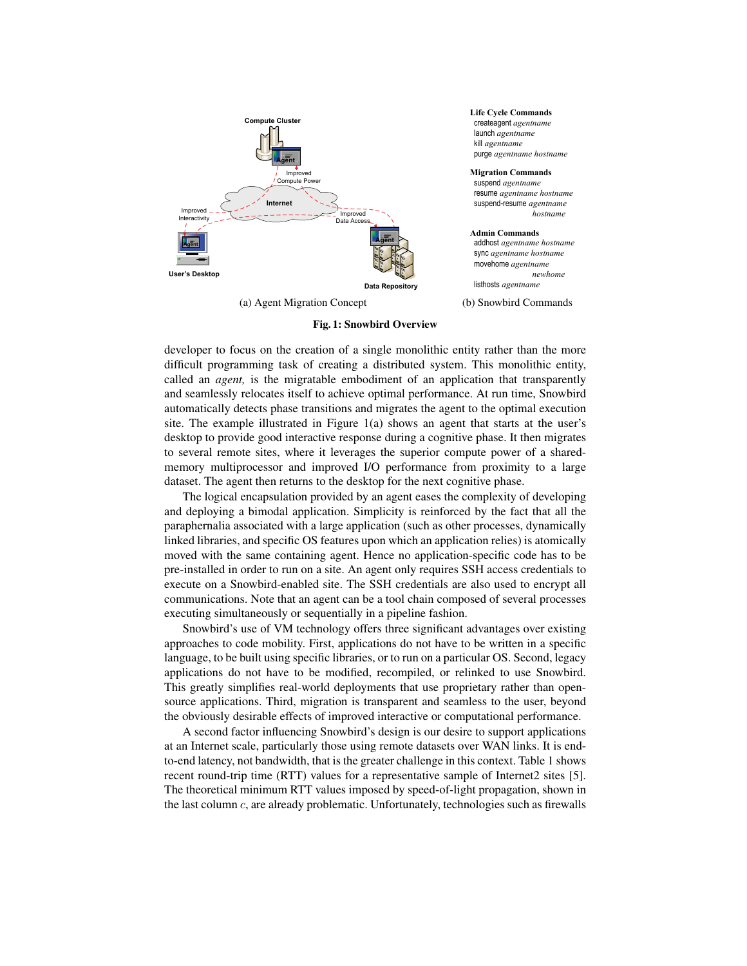

(a) Agent Migration Concept (b) Snowbird Commands

**Life Cycle Commands** createagent *agentname* launch *agentname* kill *agentname* purge *agentname hostname*

**Migration Commands** suspend *agentname* resume *agentname hostname* suspend-resume *agentname hostname*

**Admin Commands** addhost *agentname hostname* sync *agentname hostname* movehome *agentname newhome* listhosts *agentname*

#### Fig. 1: Snowbird Overview

developer to focus on the creation of a single monolithic entity rather than the more difficult programming task of creating a distributed system. This monolithic entity, called an *agent,* is the migratable embodiment of an application that transparently and seamlessly relocates itself to achieve optimal performance. At run time, Snowbird automatically detects phase transitions and migrates the agent to the optimal execution site. The example illustrated in Figure 1(a) shows an agent that starts at the user's desktop to provide good interactive response during a cognitive phase. It then migrates to several remote sites, where it leverages the superior compute power of a sharedmemory multiprocessor and improved I/O performance from proximity to a large dataset. The agent then returns to the desktop for the next cognitive phase.

The logical encapsulation provided by an agent eases the complexity of developing and deploying a bimodal application. Simplicity is reinforced by the fact that all the paraphernalia associated with a large application (such as other processes, dynamically linked libraries, and specific OS features upon which an application relies) is atomically moved with the same containing agent. Hence no application-specific code has to be pre-installed in order to run on a site. An agent only requires SSH access credentials to execute on a Snowbird-enabled site. The SSH credentials are also used to encrypt all communications. Note that an agent can be a tool chain composed of several processes executing simultaneously or sequentially in a pipeline fashion.

Snowbird's use of VM technology offers three significant advantages over existing approaches to code mobility. First, applications do not have to be written in a specific language, to be built using specific libraries, or to run on a particular OS. Second, legacy applications do not have to be modified, recompiled, or relinked to use Snowbird. This greatly simplifies real-world deployments that use proprietary rather than opensource applications. Third, migration is transparent and seamless to the user, beyond the obviously desirable effects of improved interactive or computational performance.

A second factor influencing Snowbird's design is our desire to support applications at an Internet scale, particularly those using remote datasets over WAN links. It is endto-end latency, not bandwidth, that is the greater challenge in this context. Table 1 shows recent round-trip time (RTT) values for a representative sample of Internet2 sites [5]. The theoretical minimum RTT values imposed by speed-of-light propagation, shown in the last column  $c$ , are already problematic. Unfortunately, technologies such as firewalls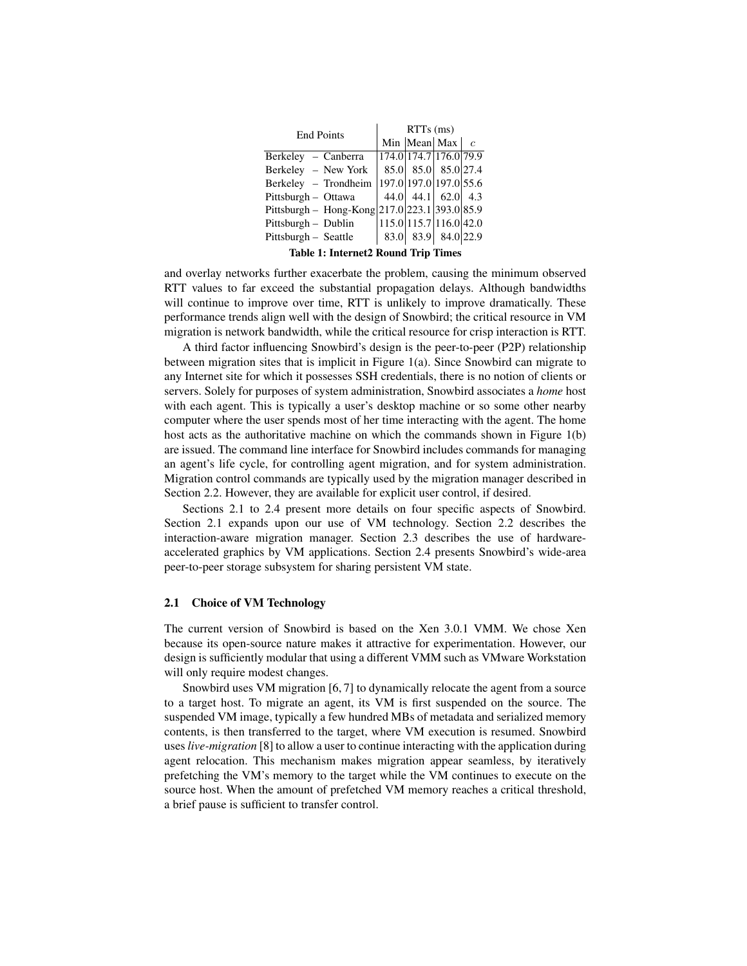| <b>End Points</b>                             | $RTTs$ (ms) |                        |  |            |  |  |  |  |  |  |
|-----------------------------------------------|-------------|------------------------|--|------------|--|--|--|--|--|--|
|                                               |             | Min   Mean   Max       |  | $\epsilon$ |  |  |  |  |  |  |
| Berkeley – Canberra                           |             | 174.0 174.7 176.0 79.9 |  |            |  |  |  |  |  |  |
| Berkeley – New York                           |             | 85.0 85.0 85.0 27.4    |  |            |  |  |  |  |  |  |
| Berkeley – Trondheim                          |             | 197.0 197.0 197.0 55.6 |  |            |  |  |  |  |  |  |
| Pittsburgh - Ottawa                           |             | 44.0 44.1 62.0 4.3     |  |            |  |  |  |  |  |  |
| Pittsburgh – Hong-Kong 217.0 223.1 393.0 85.9 |             |                        |  |            |  |  |  |  |  |  |
| Pittsburgh - Dublin                           |             | 115.0 115.7 116.0 42.0 |  |            |  |  |  |  |  |  |
| Pittsburgh - Seattle                          |             | 83.0 83.9 84.0 22.9    |  |            |  |  |  |  |  |  |
| mu <i>li ma</i> n umimi                       |             |                        |  |            |  |  |  |  |  |  |

Table 1: Internet2 Round Trip Times

and overlay networks further exacerbate the problem, causing the minimum observed RTT values to far exceed the substantial propagation delays. Although bandwidths will continue to improve over time, RTT is unlikely to improve dramatically. These performance trends align well with the design of Snowbird; the critical resource in VM migration is network bandwidth, while the critical resource for crisp interaction is RTT.

A third factor influencing Snowbird's design is the peer-to-peer (P2P) relationship between migration sites that is implicit in Figure 1(a). Since Snowbird can migrate to any Internet site for which it possesses SSH credentials, there is no notion of clients or servers. Solely for purposes of system administration, Snowbird associates a *home* host with each agent. This is typically a user's desktop machine or so some other nearby computer where the user spends most of her time interacting with the agent. The home host acts as the authoritative machine on which the commands shown in Figure 1(b) are issued. The command line interface for Snowbird includes commands for managing an agent's life cycle, for controlling agent migration, and for system administration. Migration control commands are typically used by the migration manager described in Section 2.2. However, they are available for explicit user control, if desired.

Sections 2.1 to 2.4 present more details on four specific aspects of Snowbird. Section 2.1 expands upon our use of VM technology. Section 2.2 describes the interaction-aware migration manager. Section 2.3 describes the use of hardwareaccelerated graphics by VM applications. Section 2.4 presents Snowbird's wide-area peer-to-peer storage subsystem for sharing persistent VM state.

#### 2.1 Choice of VM Technology

The current version of Snowbird is based on the Xen 3.0.1 VMM. We chose Xen because its open-source nature makes it attractive for experimentation. However, our design is sufficiently modular that using a different VMM such as VMware Workstation will only require modest changes.

Snowbird uses VM migration [6, 7] to dynamically relocate the agent from a source to a target host. To migrate an agent, its VM is first suspended on the source. The suspended VM image, typically a few hundred MBs of metadata and serialized memory contents, is then transferred to the target, where VM execution is resumed. Snowbird uses*live-migration* [8] to allow a user to continue interacting with the application during agent relocation. This mechanism makes migration appear seamless, by iteratively prefetching the VM's memory to the target while the VM continues to execute on the source host. When the amount of prefetched VM memory reaches a critical threshold, a brief pause is sufficient to transfer control.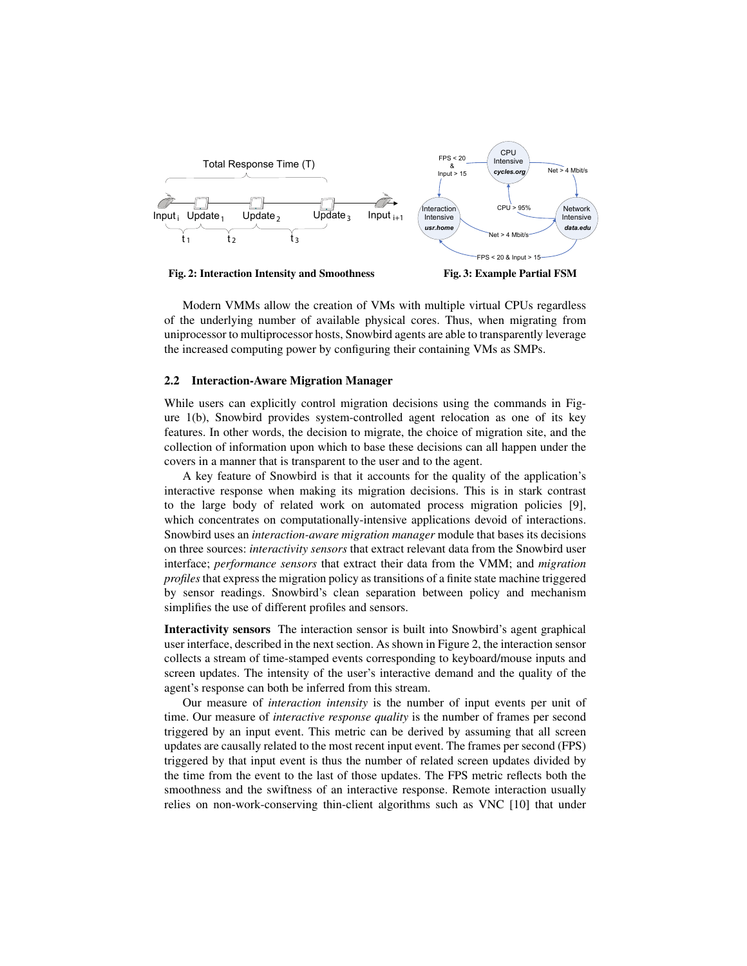

Fig. 2: Interaction Intensity and Smoothness Fig. 3: Example Partial FSM

Modern VMMs allow the creation of VMs with multiple virtual CPUs regardless of the underlying number of available physical cores. Thus, when migrating from uniprocessor to multiprocessor hosts, Snowbird agents are able to transparently leverage the increased computing power by configuring their containing VMs as SMPs.

## 2.2 Interaction-Aware Migration Manager

While users can explicitly control migration decisions using the commands in Figure 1(b), Snowbird provides system-controlled agent relocation as one of its key features. In other words, the decision to migrate, the choice of migration site, and the collection of information upon which to base these decisions can all happen under the covers in a manner that is transparent to the user and to the agent.

A key feature of Snowbird is that it accounts for the quality of the application's interactive response when making its migration decisions. This is in stark contrast to the large body of related work on automated process migration policies [9], which concentrates on computationally-intensive applications devoid of interactions. Snowbird uses an *interaction-aware migration manager* module that bases its decisions on three sources: *interactivity sensors* that extract relevant data from the Snowbird user interface; *performance sensors* that extract their data from the VMM; and *migration profiles*that express the migration policy as transitions of a finite state machine triggered by sensor readings. Snowbird's clean separation between policy and mechanism simplifies the use of different profiles and sensors.

Interactivity sensors The interaction sensor is built into Snowbird's agent graphical user interface, described in the next section. As shown in Figure 2, the interaction sensor collects a stream of time-stamped events corresponding to keyboard/mouse inputs and screen updates. The intensity of the user's interactive demand and the quality of the agent's response can both be inferred from this stream.

Our measure of *interaction intensity* is the number of input events per unit of time. Our measure of *interactive response quality* is the number of frames per second triggered by an input event. This metric can be derived by assuming that all screen updates are causally related to the most recent input event. The frames per second (FPS) triggered by that input event is thus the number of related screen updates divided by the time from the event to the last of those updates. The FPS metric reflects both the smoothness and the swiftness of an interactive response. Remote interaction usually relies on non-work-conserving thin-client algorithms such as VNC [10] that under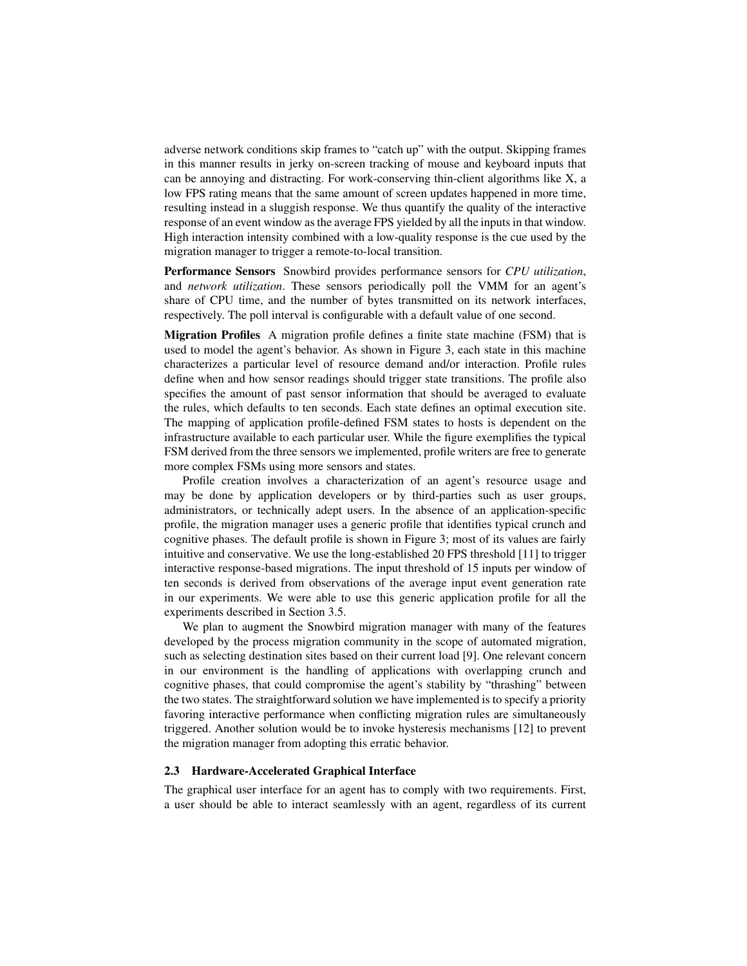adverse network conditions skip frames to "catch up" with the output. Skipping frames in this manner results in jerky on-screen tracking of mouse and keyboard inputs that can be annoying and distracting. For work-conserving thin-client algorithms like X, a low FPS rating means that the same amount of screen updates happened in more time, resulting instead in a sluggish response. We thus quantify the quality of the interactive response of an event window as the average FPS yielded by all the inputs in that window. High interaction intensity combined with a low-quality response is the cue used by the migration manager to trigger a remote-to-local transition.

Performance Sensors Snowbird provides performance sensors for *CPU utilization*, and *network utilization*. These sensors periodically poll the VMM for an agent's share of CPU time, and the number of bytes transmitted on its network interfaces, respectively. The poll interval is configurable with a default value of one second.

Migration Profiles A migration profile defines a finite state machine (FSM) that is used to model the agent's behavior. As shown in Figure 3, each state in this machine characterizes a particular level of resource demand and/or interaction. Profile rules define when and how sensor readings should trigger state transitions. The profile also specifies the amount of past sensor information that should be averaged to evaluate the rules, which defaults to ten seconds. Each state defines an optimal execution site. The mapping of application profile-defined FSM states to hosts is dependent on the infrastructure available to each particular user. While the figure exemplifies the typical FSM derived from the three sensors we implemented, profile writers are free to generate more complex FSMs using more sensors and states.

Profile creation involves a characterization of an agent's resource usage and may be done by application developers or by third-parties such as user groups, administrators, or technically adept users. In the absence of an application-specific profile, the migration manager uses a generic profile that identifies typical crunch and cognitive phases. The default profile is shown in Figure 3; most of its values are fairly intuitive and conservative. We use the long-established 20 FPS threshold [11] to trigger interactive response-based migrations. The input threshold of 15 inputs per window of ten seconds is derived from observations of the average input event generation rate in our experiments. We were able to use this generic application profile for all the experiments described in Section 3.5.

We plan to augment the Snowbird migration manager with many of the features developed by the process migration community in the scope of automated migration, such as selecting destination sites based on their current load [9]. One relevant concern in our environment is the handling of applications with overlapping crunch and cognitive phases, that could compromise the agent's stability by "thrashing" between the two states. The straightforward solution we have implemented is to specify a priority favoring interactive performance when conflicting migration rules are simultaneously triggered. Another solution would be to invoke hysteresis mechanisms [12] to prevent the migration manager from adopting this erratic behavior.

## 2.3 Hardware-Accelerated Graphical Interface

The graphical user interface for an agent has to comply with two requirements. First, a user should be able to interact seamlessly with an agent, regardless of its current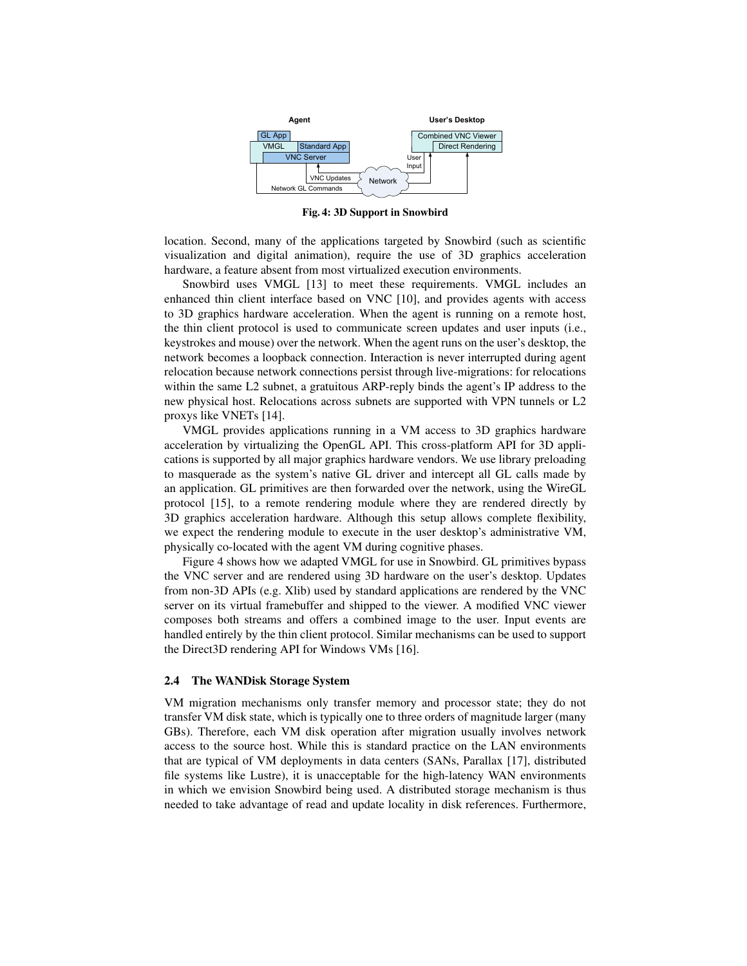

Fig. 4: 3D Support in Snowbird

location. Second, many of the applications targeted by Snowbird (such as scientific visualization and digital animation), require the use of 3D graphics acceleration hardware, a feature absent from most virtualized execution environments.

Snowbird uses VMGL [13] to meet these requirements. VMGL includes an enhanced thin client interface based on VNC [10], and provides agents with access to 3D graphics hardware acceleration. When the agent is running on a remote host, the thin client protocol is used to communicate screen updates and user inputs (i.e., keystrokes and mouse) over the network. When the agent runs on the user's desktop, the network becomes a loopback connection. Interaction is never interrupted during agent relocation because network connections persist through live-migrations: for relocations within the same L2 subnet, a gratuitous ARP-reply binds the agent's IP address to the new physical host. Relocations across subnets are supported with VPN tunnels or L2 proxys like VNETs [14].

VMGL provides applications running in a VM access to 3D graphics hardware acceleration by virtualizing the OpenGL API. This cross-platform API for 3D applications is supported by all major graphics hardware vendors. We use library preloading to masquerade as the system's native GL driver and intercept all GL calls made by an application. GL primitives are then forwarded over the network, using the WireGL protocol [15], to a remote rendering module where they are rendered directly by 3D graphics acceleration hardware. Although this setup allows complete flexibility, we expect the rendering module to execute in the user desktop's administrative VM, physically co-located with the agent VM during cognitive phases.

Figure 4 shows how we adapted VMGL for use in Snowbird. GL primitives bypass the VNC server and are rendered using 3D hardware on the user's desktop. Updates from non-3D APIs (e.g. Xlib) used by standard applications are rendered by the VNC server on its virtual framebuffer and shipped to the viewer. A modified VNC viewer composes both streams and offers a combined image to the user. Input events are handled entirely by the thin client protocol. Similar mechanisms can be used to support the Direct3D rendering API for Windows VMs [16].

#### 2.4 The WANDisk Storage System

VM migration mechanisms only transfer memory and processor state; they do not transfer VM disk state, which is typically one to three orders of magnitude larger (many GBs). Therefore, each VM disk operation after migration usually involves network access to the source host. While this is standard practice on the LAN environments that are typical of VM deployments in data centers (SANs, Parallax [17], distributed file systems like Lustre), it is unacceptable for the high-latency WAN environments in which we envision Snowbird being used. A distributed storage mechanism is thus needed to take advantage of read and update locality in disk references. Furthermore,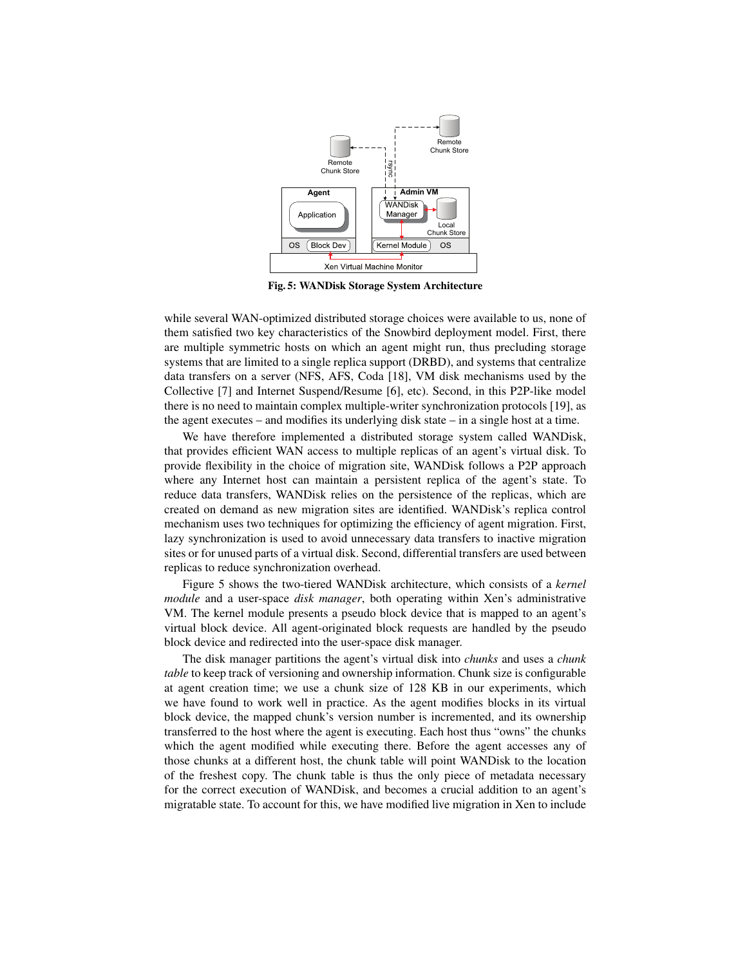

Fig. 5: WANDisk Storage System Architecture

while several WAN-optimized distributed storage choices were available to us, none of them satisfied two key characteristics of the Snowbird deployment model. First, there are multiple symmetric hosts on which an agent might run, thus precluding storage systems that are limited to a single replica support (DRBD), and systems that centralize data transfers on a server (NFS, AFS, Coda [18], VM disk mechanisms used by the Collective [7] and Internet Suspend/Resume [6], etc). Second, in this P2P-like model there is no need to maintain complex multiple-writer synchronization protocols [19], as the agent executes – and modifies its underlying disk state – in a single host at a time.

We have therefore implemented a distributed storage system called WANDisk, that provides efficient WAN access to multiple replicas of an agent's virtual disk. To provide flexibility in the choice of migration site, WANDisk follows a P2P approach where any Internet host can maintain a persistent replica of the agent's state. To reduce data transfers, WANDisk relies on the persistence of the replicas, which are created on demand as new migration sites are identified. WANDisk's replica control mechanism uses two techniques for optimizing the efficiency of agent migration. First, lazy synchronization is used to avoid unnecessary data transfers to inactive migration sites or for unused parts of a virtual disk. Second, differential transfers are used between replicas to reduce synchronization overhead.

Figure 5 shows the two-tiered WANDisk architecture, which consists of a *kernel module* and a user-space *disk manager*, both operating within Xen's administrative VM. The kernel module presents a pseudo block device that is mapped to an agent's virtual block device. All agent-originated block requests are handled by the pseudo block device and redirected into the user-space disk manager.

The disk manager partitions the agent's virtual disk into *chunks* and uses a *chunk table* to keep track of versioning and ownership information. Chunk size is configurable at agent creation time; we use a chunk size of 128 KB in our experiments, which we have found to work well in practice. As the agent modifies blocks in its virtual block device, the mapped chunk's version number is incremented, and its ownership transferred to the host where the agent is executing. Each host thus "owns" the chunks which the agent modified while executing there. Before the agent accesses any of those chunks at a different host, the chunk table will point WANDisk to the location of the freshest copy. The chunk table is thus the only piece of metadata necessary for the correct execution of WANDisk, and becomes a crucial addition to an agent's migratable state. To account for this, we have modified live migration in Xen to include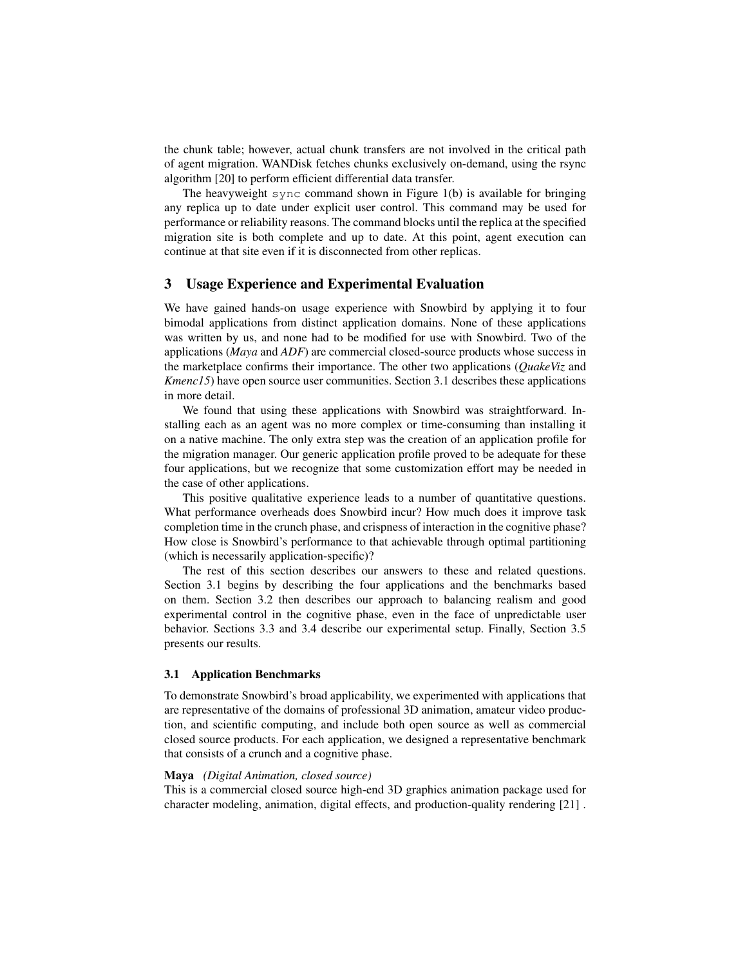the chunk table; however, actual chunk transfers are not involved in the critical path of agent migration. WANDisk fetches chunks exclusively on-demand, using the rsync algorithm [20] to perform efficient differential data transfer.

The heavyweight sync command shown in Figure 1(b) is available for bringing any replica up to date under explicit user control. This command may be used for performance or reliability reasons. The command blocks until the replica at the specified migration site is both complete and up to date. At this point, agent execution can continue at that site even if it is disconnected from other replicas.

## 3 Usage Experience and Experimental Evaluation

We have gained hands-on usage experience with Snowbird by applying it to four bimodal applications from distinct application domains. None of these applications was written by us, and none had to be modified for use with Snowbird. Two of the applications (*Maya* and *ADF*) are commercial closed-source products whose success in the marketplace confirms their importance. The other two applications (*QuakeViz* and *Kmenc15*) have open source user communities. Section 3.1 describes these applications in more detail.

We found that using these applications with Snowbird was straightforward. Installing each as an agent was no more complex or time-consuming than installing it on a native machine. The only extra step was the creation of an application profile for the migration manager. Our generic application profile proved to be adequate for these four applications, but we recognize that some customization effort may be needed in the case of other applications.

This positive qualitative experience leads to a number of quantitative questions. What performance overheads does Snowbird incur? How much does it improve task completion time in the crunch phase, and crispness of interaction in the cognitive phase? How close is Snowbird's performance to that achievable through optimal partitioning (which is necessarily application-specific)?

The rest of this section describes our answers to these and related questions. Section 3.1 begins by describing the four applications and the benchmarks based on them. Section 3.2 then describes our approach to balancing realism and good experimental control in the cognitive phase, even in the face of unpredictable user behavior. Sections 3.3 and 3.4 describe our experimental setup. Finally, Section 3.5 presents our results.

#### 3.1 Application Benchmarks

To demonstrate Snowbird's broad applicability, we experimented with applications that are representative of the domains of professional 3D animation, amateur video production, and scientific computing, and include both open source as well as commercial closed source products. For each application, we designed a representative benchmark that consists of a crunch and a cognitive phase.

#### Maya *(Digital Animation, closed source)*

This is a commercial closed source high-end 3D graphics animation package used for character modeling, animation, digital effects, and production-quality rendering [21] .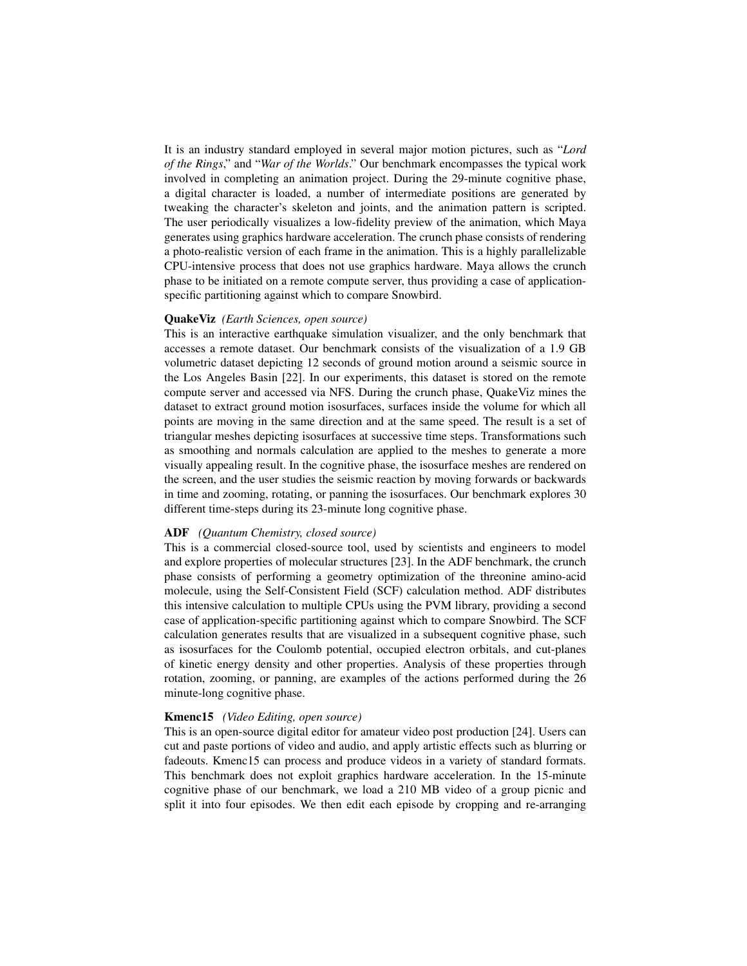It is an industry standard employed in several major motion pictures, such as "*Lord of the Rings*," and "*War of the Worlds*." Our benchmark encompasses the typical work involved in completing an animation project. During the 29-minute cognitive phase, a digital character is loaded, a number of intermediate positions are generated by tweaking the character's skeleton and joints, and the animation pattern is scripted. The user periodically visualizes a low-fidelity preview of the animation, which Maya generates using graphics hardware acceleration. The crunch phase consists of rendering a photo-realistic version of each frame in the animation. This is a highly parallelizable CPU-intensive process that does not use graphics hardware. Maya allows the crunch phase to be initiated on a remote compute server, thus providing a case of applicationspecific partitioning against which to compare Snowbird.

#### QuakeViz *(Earth Sciences, open source)*

This is an interactive earthquake simulation visualizer, and the only benchmark that accesses a remote dataset. Our benchmark consists of the visualization of a 1.9 GB volumetric dataset depicting 12 seconds of ground motion around a seismic source in the Los Angeles Basin [22]. In our experiments, this dataset is stored on the remote compute server and accessed via NFS. During the crunch phase, QuakeViz mines the dataset to extract ground motion isosurfaces, surfaces inside the volume for which all points are moving in the same direction and at the same speed. The result is a set of triangular meshes depicting isosurfaces at successive time steps. Transformations such as smoothing and normals calculation are applied to the meshes to generate a more visually appealing result. In the cognitive phase, the isosurface meshes are rendered on the screen, and the user studies the seismic reaction by moving forwards or backwards in time and zooming, rotating, or panning the isosurfaces. Our benchmark explores 30 different time-steps during its 23-minute long cognitive phase.

#### ADF *(Quantum Chemistry, closed source)*

This is a commercial closed-source tool, used by scientists and engineers to model and explore properties of molecular structures [23]. In the ADF benchmark, the crunch phase consists of performing a geometry optimization of the threonine amino-acid molecule, using the Self-Consistent Field (SCF) calculation method. ADF distributes this intensive calculation to multiple CPUs using the PVM library, providing a second case of application-specific partitioning against which to compare Snowbird. The SCF calculation generates results that are visualized in a subsequent cognitive phase, such as isosurfaces for the Coulomb potential, occupied electron orbitals, and cut-planes of kinetic energy density and other properties. Analysis of these properties through rotation, zooming, or panning, are examples of the actions performed during the 26 minute-long cognitive phase.

#### Kmenc15 *(Video Editing, open source)*

This is an open-source digital editor for amateur video post production [24]. Users can cut and paste portions of video and audio, and apply artistic effects such as blurring or fadeouts. Kmenc15 can process and produce videos in a variety of standard formats. This benchmark does not exploit graphics hardware acceleration. In the 15-minute cognitive phase of our benchmark, we load a 210 MB video of a group picnic and split it into four episodes. We then edit each episode by cropping and re-arranging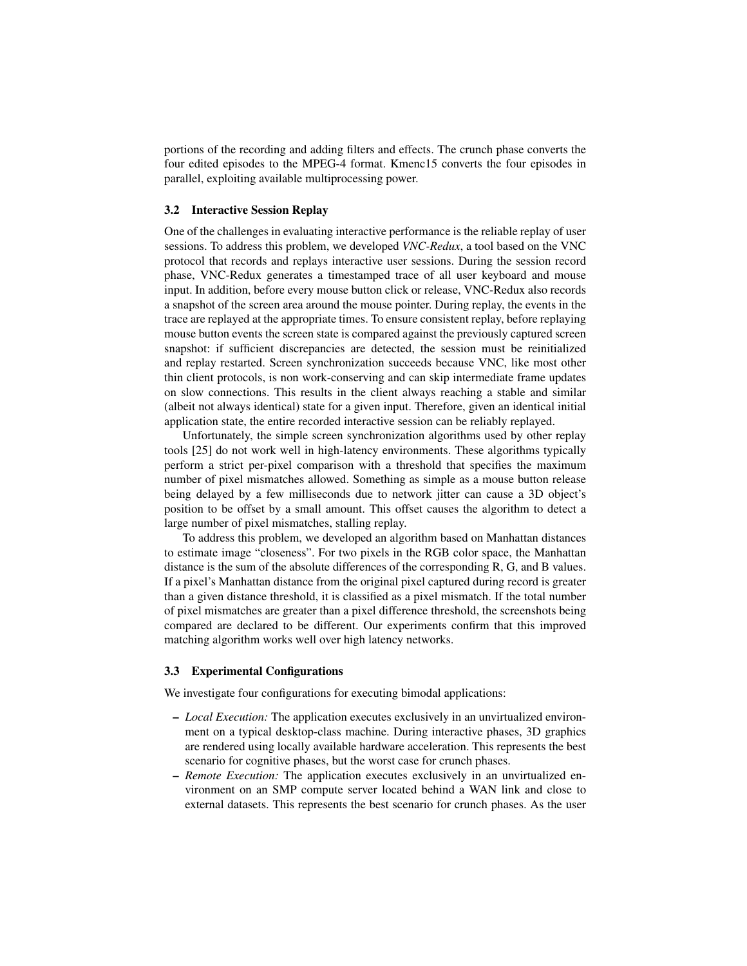portions of the recording and adding filters and effects. The crunch phase converts the four edited episodes to the MPEG-4 format. Kmenc15 converts the four episodes in parallel, exploiting available multiprocessing power.

#### 3.2 Interactive Session Replay

One of the challenges in evaluating interactive performance is the reliable replay of user sessions. To address this problem, we developed *VNC-Redux*, a tool based on the VNC protocol that records and replays interactive user sessions. During the session record phase, VNC-Redux generates a timestamped trace of all user keyboard and mouse input. In addition, before every mouse button click or release, VNC-Redux also records a snapshot of the screen area around the mouse pointer. During replay, the events in the trace are replayed at the appropriate times. To ensure consistent replay, before replaying mouse button events the screen state is compared against the previously captured screen snapshot: if sufficient discrepancies are detected, the session must be reinitialized and replay restarted. Screen synchronization succeeds because VNC, like most other thin client protocols, is non work-conserving and can skip intermediate frame updates on slow connections. This results in the client always reaching a stable and similar (albeit not always identical) state for a given input. Therefore, given an identical initial application state, the entire recorded interactive session can be reliably replayed.

Unfortunately, the simple screen synchronization algorithms used by other replay tools [25] do not work well in high-latency environments. These algorithms typically perform a strict per-pixel comparison with a threshold that specifies the maximum number of pixel mismatches allowed. Something as simple as a mouse button release being delayed by a few milliseconds due to network jitter can cause a 3D object's position to be offset by a small amount. This offset causes the algorithm to detect a large number of pixel mismatches, stalling replay.

To address this problem, we developed an algorithm based on Manhattan distances to estimate image "closeness". For two pixels in the RGB color space, the Manhattan distance is the sum of the absolute differences of the corresponding R, G, and B values. If a pixel's Manhattan distance from the original pixel captured during record is greater than a given distance threshold, it is classified as a pixel mismatch. If the total number of pixel mismatches are greater than a pixel difference threshold, the screenshots being compared are declared to be different. Our experiments confirm that this improved matching algorithm works well over high latency networks.

## 3.3 Experimental Configurations

We investigate four configurations for executing bimodal applications:

- *Local Execution:* The application executes exclusively in an unvirtualized environment on a typical desktop-class machine. During interactive phases, 3D graphics are rendered using locally available hardware acceleration. This represents the best scenario for cognitive phases, but the worst case for crunch phases.
- *Remote Execution:* The application executes exclusively in an unvirtualized environment on an SMP compute server located behind a WAN link and close to external datasets. This represents the best scenario for crunch phases. As the user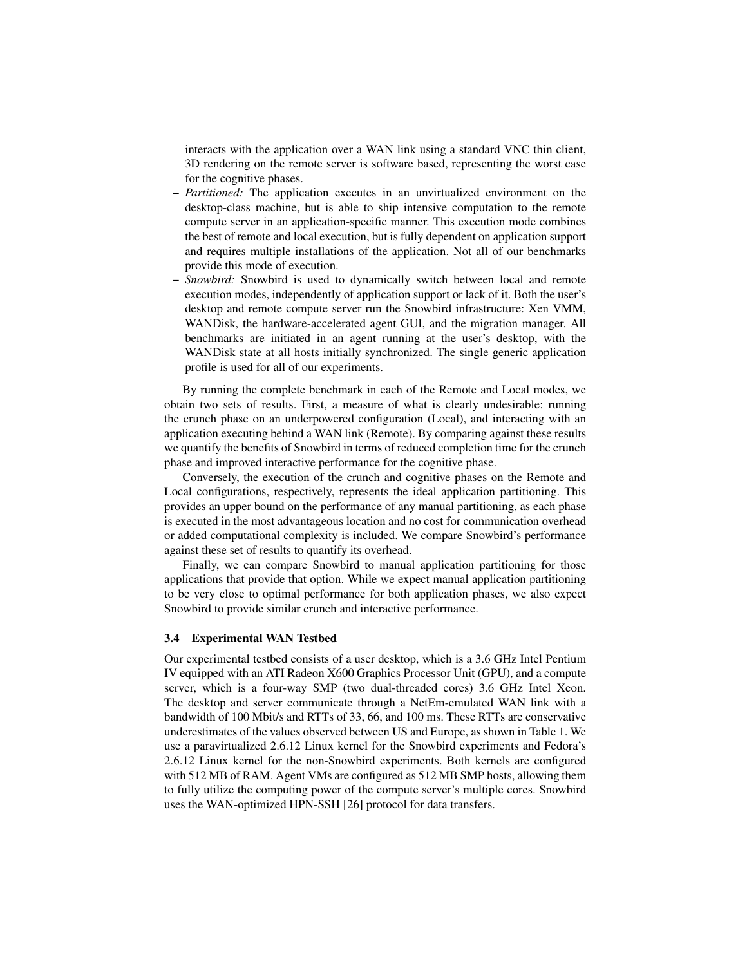interacts with the application over a WAN link using a standard VNC thin client, 3D rendering on the remote server is software based, representing the worst case for the cognitive phases.

- *Partitioned:* The application executes in an unvirtualized environment on the desktop-class machine, but is able to ship intensive computation to the remote compute server in an application-specific manner. This execution mode combines the best of remote and local execution, but is fully dependent on application support and requires multiple installations of the application. Not all of our benchmarks provide this mode of execution.
- *Snowbird:* Snowbird is used to dynamically switch between local and remote execution modes, independently of application support or lack of it. Both the user's desktop and remote compute server run the Snowbird infrastructure: Xen VMM, WANDisk, the hardware-accelerated agent GUI, and the migration manager. All benchmarks are initiated in an agent running at the user's desktop, with the WANDisk state at all hosts initially synchronized. The single generic application profile is used for all of our experiments.

By running the complete benchmark in each of the Remote and Local modes, we obtain two sets of results. First, a measure of what is clearly undesirable: running the crunch phase on an underpowered configuration (Local), and interacting with an application executing behind a WAN link (Remote). By comparing against these results we quantify the benefits of Snowbird in terms of reduced completion time for the crunch phase and improved interactive performance for the cognitive phase.

Conversely, the execution of the crunch and cognitive phases on the Remote and Local configurations, respectively, represents the ideal application partitioning. This provides an upper bound on the performance of any manual partitioning, as each phase is executed in the most advantageous location and no cost for communication overhead or added computational complexity is included. We compare Snowbird's performance against these set of results to quantify its overhead.

Finally, we can compare Snowbird to manual application partitioning for those applications that provide that option. While we expect manual application partitioning to be very close to optimal performance for both application phases, we also expect Snowbird to provide similar crunch and interactive performance.

#### 3.4 Experimental WAN Testbed

Our experimental testbed consists of a user desktop, which is a 3.6 GHz Intel Pentium IV equipped with an ATI Radeon X600 Graphics Processor Unit (GPU), and a compute server, which is a four-way SMP (two dual-threaded cores) 3.6 GHz Intel Xeon. The desktop and server communicate through a NetEm-emulated WAN link with a bandwidth of 100 Mbit/s and RTTs of 33, 66, and 100 ms. These RTTs are conservative underestimates of the values observed between US and Europe, as shown in Table 1. We use a paravirtualized 2.6.12 Linux kernel for the Snowbird experiments and Fedora's 2.6.12 Linux kernel for the non-Snowbird experiments. Both kernels are configured with 512 MB of RAM. Agent VMs are configured as 512 MB SMP hosts, allowing them to fully utilize the computing power of the compute server's multiple cores. Snowbird uses the WAN-optimized HPN-SSH [26] protocol for data transfers.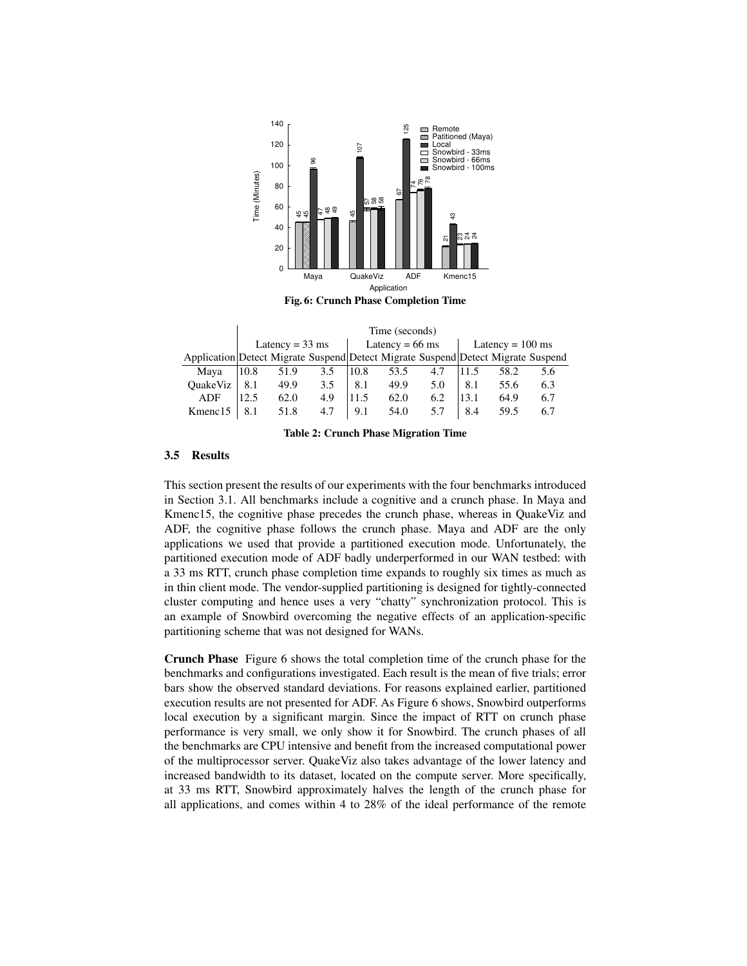

|                                                                                  | Time (seconds)            |      |     |                           |      |     |                            |      |     |  |
|----------------------------------------------------------------------------------|---------------------------|------|-----|---------------------------|------|-----|----------------------------|------|-----|--|
|                                                                                  | Latency = $33 \text{ ms}$ |      |     | Latency = $66 \text{ ms}$ |      |     | Latency = $100 \text{ ms}$ |      |     |  |
| Application Detect Migrate Suspend Detect Migrate Suspend Detect Migrate Suspend |                           |      |     |                           |      |     |                            |      |     |  |
| Maya                                                                             | 10.8                      | 51.9 | 3.5 | 10.8                      | 53.5 | 4.7 | 11.5                       | 58.2 | 5.6 |  |
| <b>OuakeViz</b>                                                                  | 8.1                       | 49.9 | 3.5 | 8.1                       | 49.9 | 5.0 | 8.1                        | 55.6 | 6.3 |  |
| ADF                                                                              | 12.5                      | 62.0 | 4.9 | 11.5                      | 62.0 | 6.2 | 13.1                       | 64.9 | 6.7 |  |
| Kmenc <sub>15</sub>                                                              | 8.1                       | 51.8 | 4.7 | 9.1                       | 54.0 | 5.7 | 8.4                        | 59.5 | 6.7 |  |

Table 2: Crunch Phase Migration Time

#### 3.5 Results

This section present the results of our experiments with the four benchmarks introduced in Section 3.1. All benchmarks include a cognitive and a crunch phase. In Maya and Kmenc15, the cognitive phase precedes the crunch phase, whereas in QuakeViz and ADF, the cognitive phase follows the crunch phase. Maya and ADF are the only applications we used that provide a partitioned execution mode. Unfortunately, the partitioned execution mode of ADF badly underperformed in our WAN testbed: with a 33 ms RTT, crunch phase completion time expands to roughly six times as much as in thin client mode. The vendor-supplied partitioning is designed for tightly-connected cluster computing and hence uses a very "chatty" synchronization protocol. This is an example of Snowbird overcoming the negative effects of an application-specific partitioning scheme that was not designed for WANs.

Crunch Phase Figure 6 shows the total completion time of the crunch phase for the benchmarks and configurations investigated. Each result is the mean of five trials; error bars show the observed standard deviations. For reasons explained earlier, partitioned execution results are not presented for ADF. As Figure 6 shows, Snowbird outperforms local execution by a significant margin. Since the impact of RTT on crunch phase performance is very small, we only show it for Snowbird. The crunch phases of all the benchmarks are CPU intensive and benefit from the increased computational power of the multiprocessor server. QuakeViz also takes advantage of the lower latency and increased bandwidth to its dataset, located on the compute server. More specifically, at 33 ms RTT, Snowbird approximately halves the length of the crunch phase for all applications, and comes within 4 to 28% of the ideal performance of the remote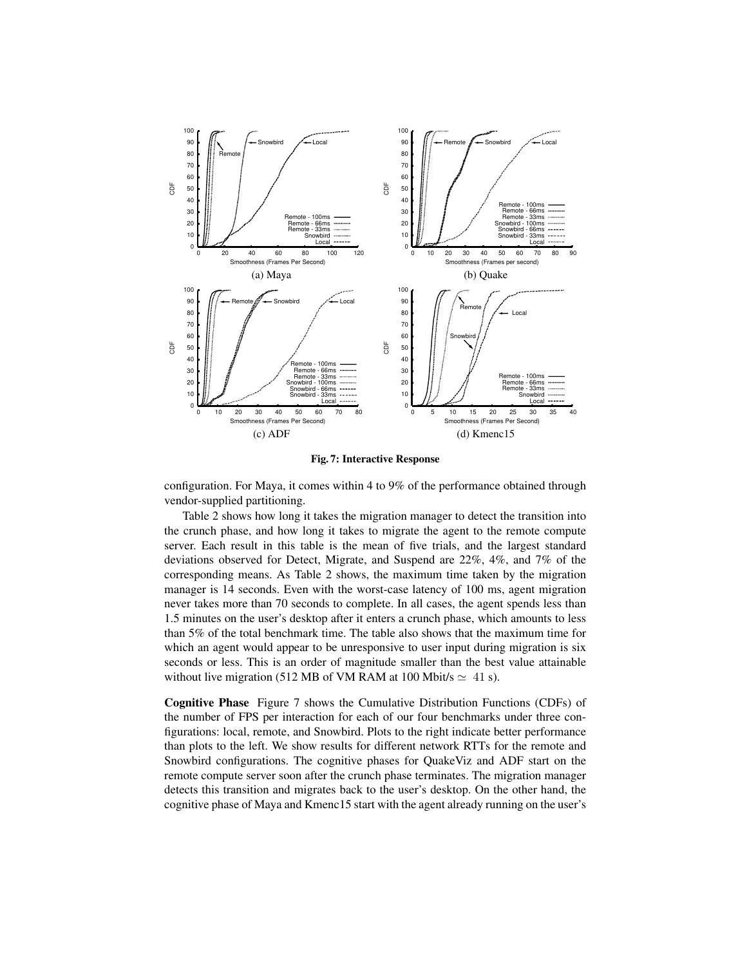



configuration. For Maya, it comes within 4 to 9% of the performance obtained through vendor-supplied partitioning.

Table 2 shows how long it takes the migration manager to detect the transition into the crunch phase, and how long it takes to migrate the agent to the remote compute server. Each result in this table is the mean of five trials, and the largest standard deviations observed for Detect, Migrate, and Suspend are 22%, 4%, and 7% of the corresponding means. As Table 2 shows, the maximum time taken by the migration manager is 14 seconds. Even with the worst-case latency of 100 ms, agent migration never takes more than 70 seconds to complete. In all cases, the agent spends less than 1.5 minutes on the user's desktop after it enters a crunch phase, which amounts to less than 5% of the total benchmark time. The table also shows that the maximum time for which an agent would appear to be unresponsive to user input during migration is six seconds or less. This is an order of magnitude smaller than the best value attainable without live migration (512 MB of VM RAM at 100 Mbit/s  $\simeq$  41 s).

Cognitive Phase Figure 7 shows the Cumulative Distribution Functions (CDFs) of the number of FPS per interaction for each of our four benchmarks under three configurations: local, remote, and Snowbird. Plots to the right indicate better performance than plots to the left. We show results for different network RTTs for the remote and Snowbird configurations. The cognitive phases for QuakeViz and ADF start on the remote compute server soon after the crunch phase terminates. The migration manager detects this transition and migrates back to the user's desktop. On the other hand, the cognitive phase of Maya and Kmenc15 start with the agent already running on the user's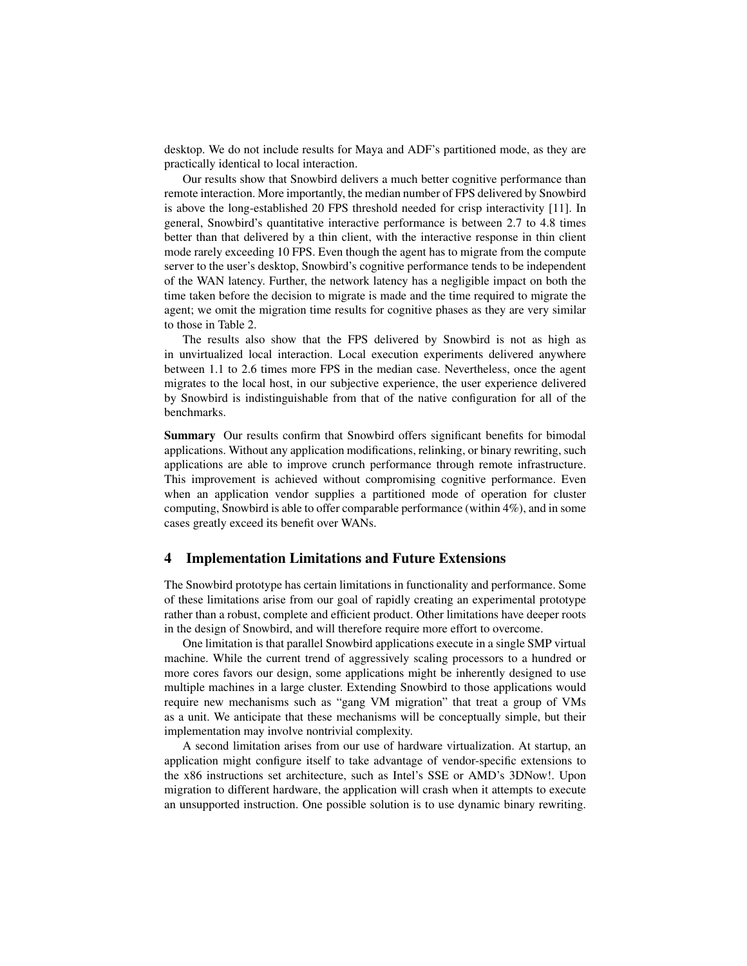desktop. We do not include results for Maya and ADF's partitioned mode, as they are practically identical to local interaction.

Our results show that Snowbird delivers a much better cognitive performance than remote interaction. More importantly, the median number of FPS delivered by Snowbird is above the long-established 20 FPS threshold needed for crisp interactivity [11]. In general, Snowbird's quantitative interactive performance is between 2.7 to 4.8 times better than that delivered by a thin client, with the interactive response in thin client mode rarely exceeding 10 FPS. Even though the agent has to migrate from the compute server to the user's desktop, Snowbird's cognitive performance tends to be independent of the WAN latency. Further, the network latency has a negligible impact on both the time taken before the decision to migrate is made and the time required to migrate the agent; we omit the migration time results for cognitive phases as they are very similar to those in Table 2.

The results also show that the FPS delivered by Snowbird is not as high as in unvirtualized local interaction. Local execution experiments delivered anywhere between 1.1 to 2.6 times more FPS in the median case. Nevertheless, once the agent migrates to the local host, in our subjective experience, the user experience delivered by Snowbird is indistinguishable from that of the native configuration for all of the benchmarks.

Summary Our results confirm that Snowbird offers significant benefits for bimodal applications. Without any application modifications, relinking, or binary rewriting, such applications are able to improve crunch performance through remote infrastructure. This improvement is achieved without compromising cognitive performance. Even when an application vendor supplies a partitioned mode of operation for cluster computing, Snowbird is able to offer comparable performance (within 4%), and in some cases greatly exceed its benefit over WANs.

#### 4 Implementation Limitations and Future Extensions

The Snowbird prototype has certain limitations in functionality and performance. Some of these limitations arise from our goal of rapidly creating an experimental prototype rather than a robust, complete and efficient product. Other limitations have deeper roots in the design of Snowbird, and will therefore require more effort to overcome.

One limitation is that parallel Snowbird applications execute in a single SMP virtual machine. While the current trend of aggressively scaling processors to a hundred or more cores favors our design, some applications might be inherently designed to use multiple machines in a large cluster. Extending Snowbird to those applications would require new mechanisms such as "gang VM migration" that treat a group of VMs as a unit. We anticipate that these mechanisms will be conceptually simple, but their implementation may involve nontrivial complexity.

A second limitation arises from our use of hardware virtualization. At startup, an application might configure itself to take advantage of vendor-specific extensions to the x86 instructions set architecture, such as Intel's SSE or AMD's 3DNow!. Upon migration to different hardware, the application will crash when it attempts to execute an unsupported instruction. One possible solution is to use dynamic binary rewriting.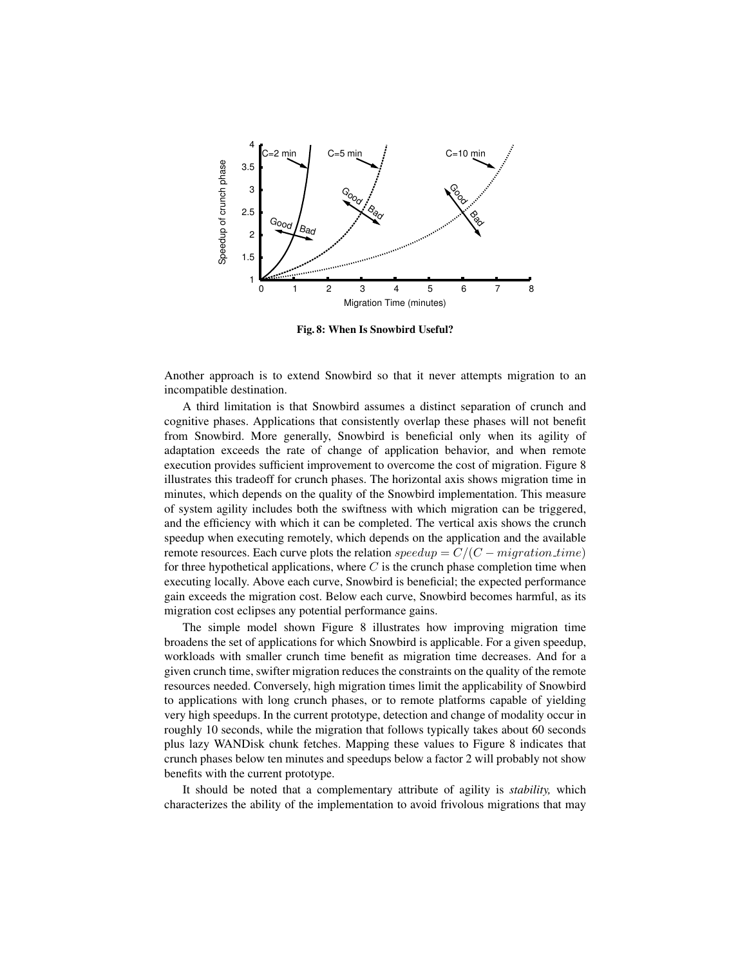

Fig. 8: When Is Snowbird Useful?

Another approach is to extend Snowbird so that it never attempts migration to an incompatible destination.

A third limitation is that Snowbird assumes a distinct separation of crunch and cognitive phases. Applications that consistently overlap these phases will not benefit from Snowbird. More generally, Snowbird is beneficial only when its agility of adaptation exceeds the rate of change of application behavior, and when remote execution provides sufficient improvement to overcome the cost of migration. Figure 8 illustrates this tradeoff for crunch phases. The horizontal axis shows migration time in minutes, which depends on the quality of the Snowbird implementation. This measure of system agility includes both the swiftness with which migration can be triggered, and the efficiency with which it can be completed. The vertical axis shows the crunch speedup when executing remotely, which depends on the application and the available remote resources. Each curve plots the relation  $speedup = C/(C - migration_time)$ for three hypothetical applications, where  $C$  is the crunch phase completion time when executing locally. Above each curve, Snowbird is beneficial; the expected performance gain exceeds the migration cost. Below each curve, Snowbird becomes harmful, as its migration cost eclipses any potential performance gains.

The simple model shown Figure 8 illustrates how improving migration time broadens the set of applications for which Snowbird is applicable. For a given speedup, workloads with smaller crunch time benefit as migration time decreases. And for a given crunch time, swifter migration reduces the constraints on the quality of the remote resources needed. Conversely, high migration times limit the applicability of Snowbird to applications with long crunch phases, or to remote platforms capable of yielding very high speedups. In the current prototype, detection and change of modality occur in roughly 10 seconds, while the migration that follows typically takes about 60 seconds plus lazy WANDisk chunk fetches. Mapping these values to Figure 8 indicates that crunch phases below ten minutes and speedups below a factor 2 will probably not show benefits with the current prototype.

It should be noted that a complementary attribute of agility is *stability,* which characterizes the ability of the implementation to avoid frivolous migrations that may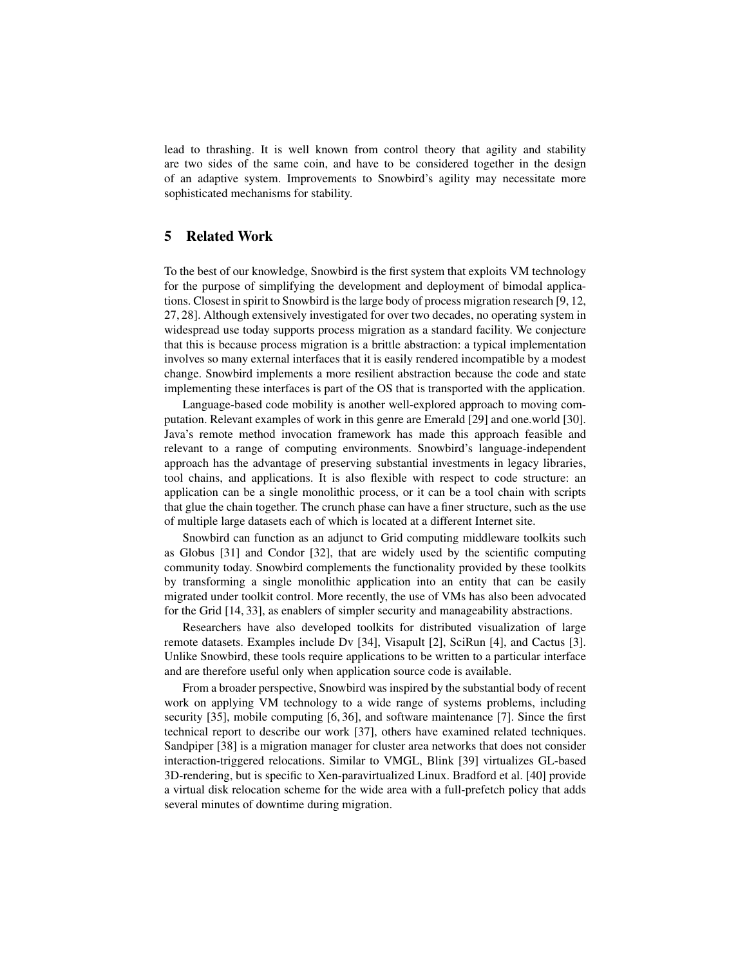lead to thrashing. It is well known from control theory that agility and stability are two sides of the same coin, and have to be considered together in the design of an adaptive system. Improvements to Snowbird's agility may necessitate more sophisticated mechanisms for stability.

## 5 Related Work

To the best of our knowledge, Snowbird is the first system that exploits VM technology for the purpose of simplifying the development and deployment of bimodal applications. Closest in spirit to Snowbird is the large body of process migration research [9, 12, 27, 28]. Although extensively investigated for over two decades, no operating system in widespread use today supports process migration as a standard facility. We conjecture that this is because process migration is a brittle abstraction: a typical implementation involves so many external interfaces that it is easily rendered incompatible by a modest change. Snowbird implements a more resilient abstraction because the code and state implementing these interfaces is part of the OS that is transported with the application.

Language-based code mobility is another well-explored approach to moving computation. Relevant examples of work in this genre are Emerald [29] and one.world [30]. Java's remote method invocation framework has made this approach feasible and relevant to a range of computing environments. Snowbird's language-independent approach has the advantage of preserving substantial investments in legacy libraries, tool chains, and applications. It is also flexible with respect to code structure: an application can be a single monolithic process, or it can be a tool chain with scripts that glue the chain together. The crunch phase can have a finer structure, such as the use of multiple large datasets each of which is located at a different Internet site.

Snowbird can function as an adjunct to Grid computing middleware toolkits such as Globus [31] and Condor [32], that are widely used by the scientific computing community today. Snowbird complements the functionality provided by these toolkits by transforming a single monolithic application into an entity that can be easily migrated under toolkit control. More recently, the use of VMs has also been advocated for the Grid [14, 33], as enablers of simpler security and manageability abstractions.

Researchers have also developed toolkits for distributed visualization of large remote datasets. Examples include Dv [34], Visapult [2], SciRun [4], and Cactus [3]. Unlike Snowbird, these tools require applications to be written to a particular interface and are therefore useful only when application source code is available.

From a broader perspective, Snowbird was inspired by the substantial body of recent work on applying VM technology to a wide range of systems problems, including security [35], mobile computing [6, 36], and software maintenance [7]. Since the first technical report to describe our work [37], others have examined related techniques. Sandpiper [38] is a migration manager for cluster area networks that does not consider interaction-triggered relocations. Similar to VMGL, Blink [39] virtualizes GL-based 3D-rendering, but is specific to Xen-paravirtualized Linux. Bradford et al. [40] provide a virtual disk relocation scheme for the wide area with a full-prefetch policy that adds several minutes of downtime during migration.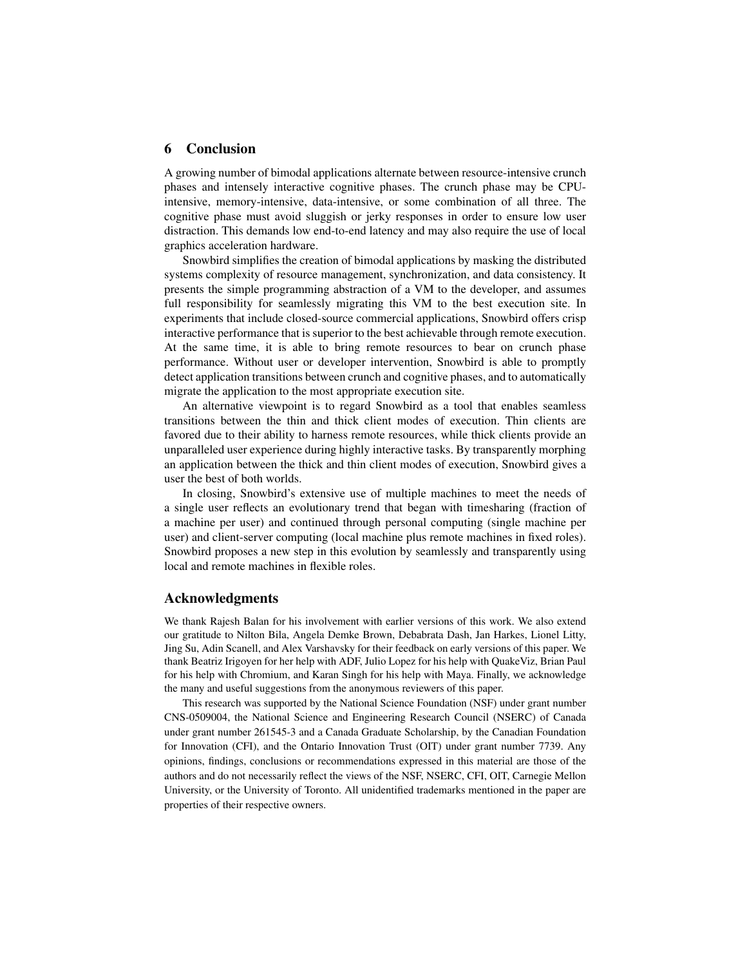## 6 Conclusion

A growing number of bimodal applications alternate between resource-intensive crunch phases and intensely interactive cognitive phases. The crunch phase may be CPUintensive, memory-intensive, data-intensive, or some combination of all three. The cognitive phase must avoid sluggish or jerky responses in order to ensure low user distraction. This demands low end-to-end latency and may also require the use of local graphics acceleration hardware.

Snowbird simplifies the creation of bimodal applications by masking the distributed systems complexity of resource management, synchronization, and data consistency. It presents the simple programming abstraction of a VM to the developer, and assumes full responsibility for seamlessly migrating this VM to the best execution site. In experiments that include closed-source commercial applications, Snowbird offers crisp interactive performance that is superior to the best achievable through remote execution. At the same time, it is able to bring remote resources to bear on crunch phase performance. Without user or developer intervention, Snowbird is able to promptly detect application transitions between crunch and cognitive phases, and to automatically migrate the application to the most appropriate execution site.

An alternative viewpoint is to regard Snowbird as a tool that enables seamless transitions between the thin and thick client modes of execution. Thin clients are favored due to their ability to harness remote resources, while thick clients provide an unparalleled user experience during highly interactive tasks. By transparently morphing an application between the thick and thin client modes of execution, Snowbird gives a user the best of both worlds.

In closing, Snowbird's extensive use of multiple machines to meet the needs of a single user reflects an evolutionary trend that began with timesharing (fraction of a machine per user) and continued through personal computing (single machine per user) and client-server computing (local machine plus remote machines in fixed roles). Snowbird proposes a new step in this evolution by seamlessly and transparently using local and remote machines in flexible roles.

## Acknowledgments

We thank Rajesh Balan for his involvement with earlier versions of this work. We also extend our gratitude to Nilton Bila, Angela Demke Brown, Debabrata Dash, Jan Harkes, Lionel Litty, Jing Su, Adin Scanell, and Alex Varshavsky for their feedback on early versions of this paper. We thank Beatriz Irigoyen for her help with ADF, Julio Lopez for his help with QuakeViz, Brian Paul for his help with Chromium, and Karan Singh for his help with Maya. Finally, we acknowledge the many and useful suggestions from the anonymous reviewers of this paper.

This research was supported by the National Science Foundation (NSF) under grant number CNS-0509004, the National Science and Engineering Research Council (NSERC) of Canada under grant number 261545-3 and a Canada Graduate Scholarship, by the Canadian Foundation for Innovation (CFI), and the Ontario Innovation Trust (OIT) under grant number 7739. Any opinions, findings, conclusions or recommendations expressed in this material are those of the authors and do not necessarily reflect the views of the NSF, NSERC, CFI, OIT, Carnegie Mellon University, or the University of Toronto. All unidentified trademarks mentioned in the paper are properties of their respective owners.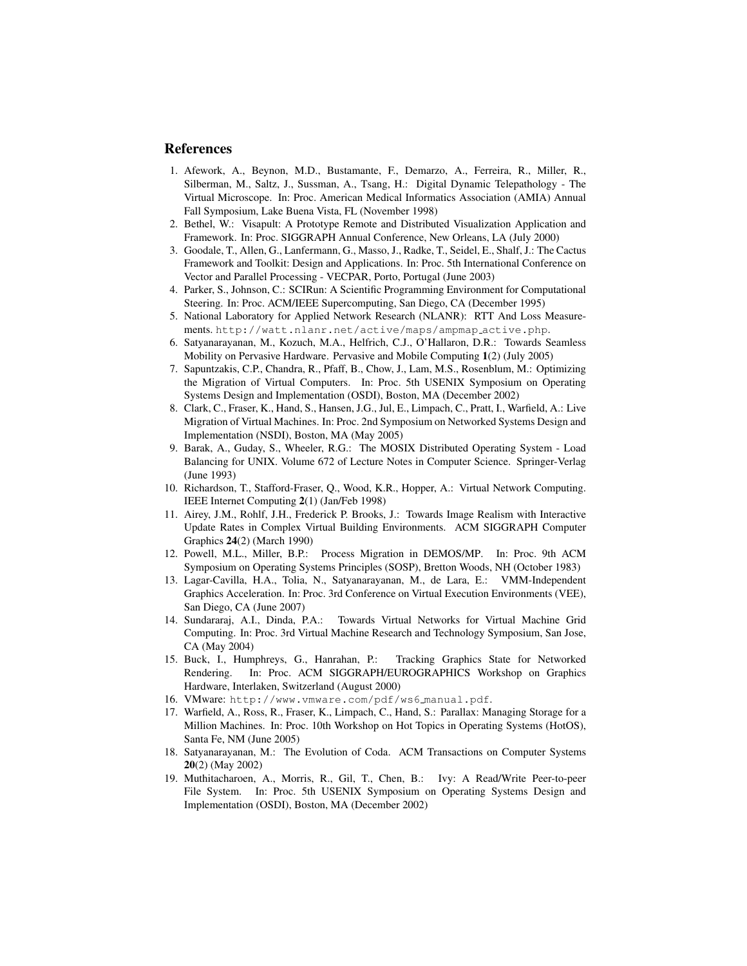## References

- 1. Afework, A., Beynon, M.D., Bustamante, F., Demarzo, A., Ferreira, R., Miller, R., Silberman, M., Saltz, J., Sussman, A., Tsang, H.: Digital Dynamic Telepathology - The Virtual Microscope. In: Proc. American Medical Informatics Association (AMIA) Annual Fall Symposium, Lake Buena Vista, FL (November 1998)
- 2. Bethel, W.: Visapult: A Prototype Remote and Distributed Visualization Application and Framework. In: Proc. SIGGRAPH Annual Conference, New Orleans, LA (July 2000)
- 3. Goodale, T., Allen, G., Lanfermann, G., Masso, J., Radke, T., Seidel, E., Shalf, J.: The Cactus Framework and Toolkit: Design and Applications. In: Proc. 5th International Conference on Vector and Parallel Processing - VECPAR, Porto, Portugal (June 2003)
- 4. Parker, S., Johnson, C.: SCIRun: A Scientific Programming Environment for Computational Steering. In: Proc. ACM/IEEE Supercomputing, San Diego, CA (December 1995)
- 5. National Laboratory for Applied Network Research (NLANR): RTT And Loss Measurements. http://watt.nlanr.net/active/maps/ampmap active.php.
- 6. Satyanarayanan, M., Kozuch, M.A., Helfrich, C.J., O'Hallaron, D.R.: Towards Seamless Mobility on Pervasive Hardware. Pervasive and Mobile Computing 1(2) (July 2005)
- 7. Sapuntzakis, C.P., Chandra, R., Pfaff, B., Chow, J., Lam, M.S., Rosenblum, M.: Optimizing the Migration of Virtual Computers. In: Proc. 5th USENIX Symposium on Operating Systems Design and Implementation (OSDI), Boston, MA (December 2002)
- 8. Clark, C., Fraser, K., Hand, S., Hansen, J.G., Jul, E., Limpach, C., Pratt, I., Warfield, A.: Live Migration of Virtual Machines. In: Proc. 2nd Symposium on Networked Systems Design and Implementation (NSDI), Boston, MA (May 2005)
- 9. Barak, A., Guday, S., Wheeler, R.G.: The MOSIX Distributed Operating System Load Balancing for UNIX. Volume 672 of Lecture Notes in Computer Science. Springer-Verlag (June 1993)
- 10. Richardson, T., Stafford-Fraser, Q., Wood, K.R., Hopper, A.: Virtual Network Computing. IEEE Internet Computing 2(1) (Jan/Feb 1998)
- 11. Airey, J.M., Rohlf, J.H., Frederick P. Brooks, J.: Towards Image Realism with Interactive Update Rates in Complex Virtual Building Environments. ACM SIGGRAPH Computer Graphics 24(2) (March 1990)
- 12. Powell, M.L., Miller, B.P.: Process Migration in DEMOS/MP. In: Proc. 9th ACM Symposium on Operating Systems Principles (SOSP), Bretton Woods, NH (October 1983)
- 13. Lagar-Cavilla, H.A., Tolia, N., Satyanarayanan, M., de Lara, E.: VMM-Independent Graphics Acceleration. In: Proc. 3rd Conference on Virtual Execution Environments (VEE), San Diego, CA (June 2007)
- 14. Sundararaj, A.I., Dinda, P.A.: Towards Virtual Networks for Virtual Machine Grid Computing. In: Proc. 3rd Virtual Machine Research and Technology Symposium, San Jose, CA (May 2004)
- 15. Buck, I., Humphreys, G., Hanrahan, P.: Tracking Graphics State for Networked Rendering. In: Proc. ACM SIGGRAPH/EUROGRAPHICS Workshop on Graphics Hardware, Interlaken, Switzerland (August 2000)
- 16. VMware: http://www.vmware.com/pdf/ws6 manual.pdf.
- 17. Warfield, A., Ross, R., Fraser, K., Limpach, C., Hand, S.: Parallax: Managing Storage for a Million Machines. In: Proc. 10th Workshop on Hot Topics in Operating Systems (HotOS), Santa Fe, NM (June 2005)
- 18. Satyanarayanan, M.: The Evolution of Coda. ACM Transactions on Computer Systems 20(2) (May 2002)
- 19. Muthitacharoen, A., Morris, R., Gil, T., Chen, B.: Ivy: A Read/Write Peer-to-peer File System. In: Proc. 5th USENIX Symposium on Operating Systems Design and Implementation (OSDI), Boston, MA (December 2002)